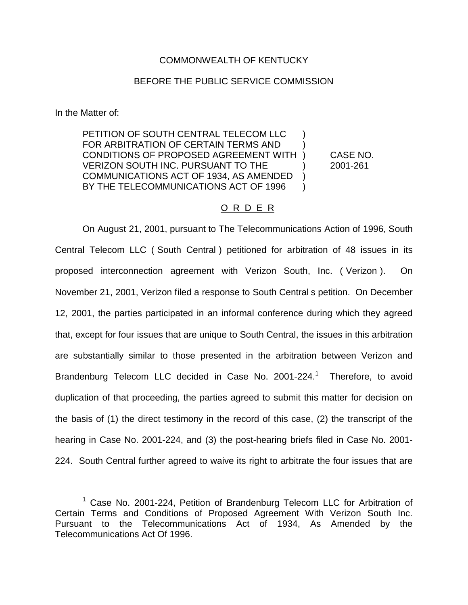# COMMONWEALTH OF KENTUCKY

# BEFORE THE PUBLIC SERVICE COMMISSION

In the Matter of:

PETITION OF SOUTH CENTRAL TELECOM LLC ) FOR ARBITRATION OF CERTAIN TERMS AND ) CONDITIONS OF PROPOSED AGREEMENT WITH ) CASE NO. VERIZON SOUTH INC. PURSUANT TO THE ) 2001-261 COMMUNICATIONS ACT OF 1934, AS AMENDED ) BY THE TELECOMMUNICATIONS ACT OF 1996

# O R D E R

On August 21, 2001, pursuant to The Telecommunications Action of 1996, South Central Telecom LLC ( South Central ) petitioned for arbitration of 48 issues in its proposed interconnection agreement with Verizon South, Inc. ( Verizon ). On November 21, 2001, Verizon filed a response to South Central s petition. On December 12, 2001, the parties participated in an informal conference during which they agreed that, except for four issues that are unique to South Central, the issues in this arbitration are substantially similar to those presented in the arbitration between Verizon and Brandenburg Telecom LLC decided in Case No.  $2001-224$ .<sup>1</sup> Therefore, to avoid duplication of that proceeding, the parties agreed to submit this matter for decision on the basis of (1) the direct testimony in the record of this case, (2) the transcript of the hearing in Case No. 2001-224, and (3) the post-hearing briefs filed in Case No. 2001- 224. South Central further agreed to waive its right to arbitrate the four issues that are

<sup>&</sup>lt;sup>1</sup> Case No. 2001-224, Petition of Brandenburg Telecom LLC for Arbitration of Certain Terms and Conditions of Proposed Agreement With Verizon South Inc. Pursuant to the Telecommunications Act of 1934, As Amended by the Telecommunications Act Of 1996.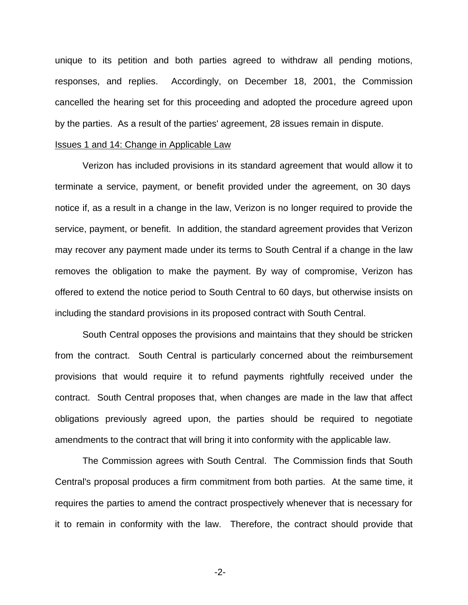unique to its petition and both parties agreed to withdraw all pending motions, responses, and replies. Accordingly, on December 18, 2001, the Commission cancelled the hearing set for this proceeding and adopted the procedure agreed upon by the parties. As a result of the parties' agreement, 28 issues remain in dispute.

# Issues 1 and 14: Change in Applicable Law

Verizon has included provisions in its standard agreement that would allow it to terminate a service, payment, or benefit provided under the agreement, on 30 days notice if, as a result in a change in the law, Verizon is no longer required to provide the service, payment, or benefit. In addition, the standard agreement provides that Verizon may recover any payment made under its terms to South Central if a change in the law removes the obligation to make the payment. By way of compromise, Verizon has offered to extend the notice period to South Central to 60 days, but otherwise insists on including the standard provisions in its proposed contract with South Central.

South Central opposes the provisions and maintains that they should be stricken from the contract. South Central is particularly concerned about the reimbursement provisions that would require it to refund payments rightfully received under the contract. South Central proposes that, when changes are made in the law that affect obligations previously agreed upon, the parties should be required to negotiate amendments to the contract that will bring it into conformity with the applicable law.

The Commission agrees with South Central. The Commission finds that South Central's proposal produces a firm commitment from both parties. At the same time, it requires the parties to amend the contract prospectively whenever that is necessary for it to remain in conformity with the law. Therefore, the contract should provide that

-2-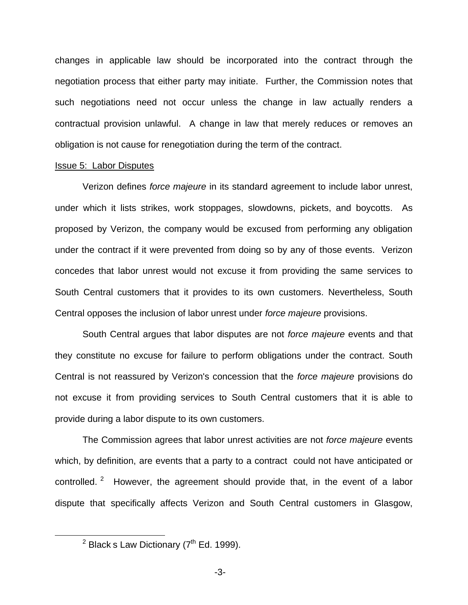changes in applicable law should be incorporated into the contract through the negotiation process that either party may initiate. Further, the Commission notes that such negotiations need not occur unless the change in law actually renders a contractual provision unlawful. A change in law that merely reduces or removes an obligation is not cause for renegotiation during the term of the contract.

#### Issue 5: Labor Disputes

Verizon defines *force majeure* in its standard agreement to include labor unrest, under which it lists strikes, work stoppages, slowdowns, pickets, and boycotts. As proposed by Verizon, the company would be excused from performing any obligation under the contract if it were prevented from doing so by any of those events. Verizon concedes that labor unrest would not excuse it from providing the same services to South Central customers that it provides to its own customers. Nevertheless, South Central opposes the inclusion of labor unrest under *force majeure* provisions.

South Central argues that labor disputes are not *force majeure* events and that they constitute no excuse for failure to perform obligations under the contract. South Central is not reassured by Verizon's concession that the *force majeure* provisions do not excuse it from providing services to South Central customers that it is able to provide during a labor dispute to its own customers.

The Commission agrees that labor unrest activities are not *force majeure* events which, by definition, are events that a party to a contract could not have anticipated or controlled. <sup>2</sup> However, the agreement should provide that, in the event of a labor dispute that specifically affects Verizon and South Central customers in Glasgow,

 $2$  Black s Law Dictionary ( $7<sup>th</sup>$  Ed. 1999).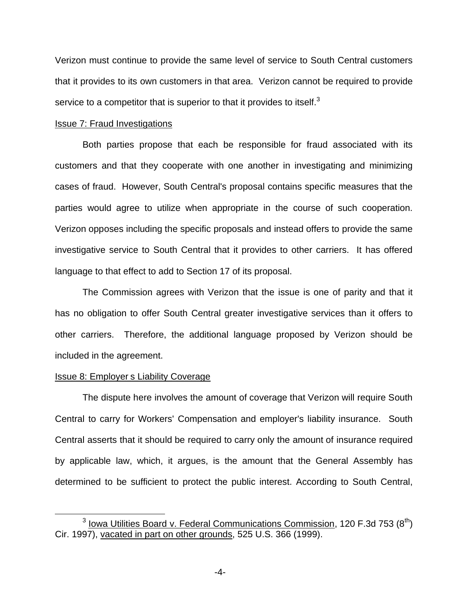Verizon must continue to provide the same level of service to South Central customers that it provides to its own customers in that area. Verizon cannot be required to provide service to a competitor that is superior to that it provides to itself.<sup>3</sup>

#### Issue 7: Fraud Investigations

Both parties propose that each be responsible for fraud associated with its customers and that they cooperate with one another in investigating and minimizing cases of fraud. However, South Central's proposal contains specific measures that the parties would agree to utilize when appropriate in the course of such cooperation. Verizon opposes including the specific proposals and instead offers to provide the same investigative service to South Central that it provides to other carriers. It has offered language to that effect to add to Section 17 of its proposal.

The Commission agrees with Verizon that the issue is one of parity and that it has no obligation to offer South Central greater investigative services than it offers to other carriers. Therefore, the additional language proposed by Verizon should be included in the agreement.

# Issue 8: Employer s Liability Coverage

The dispute here involves the amount of coverage that Verizon will require South Central to carry for Workers' Compensation and employer's liability insurance. South Central asserts that it should be required to carry only the amount of insurance required by applicable law, which, it argues, is the amount that the General Assembly has determined to be sufficient to protect the public interest. According to South Central,

 $3$  lowa Utilities Board v. Federal Communications Commission, 120 F.3d 753 ( $8<sup>th</sup>$ ) Cir. 1997), vacated in part on other grounds, 525 U.S. 366 (1999).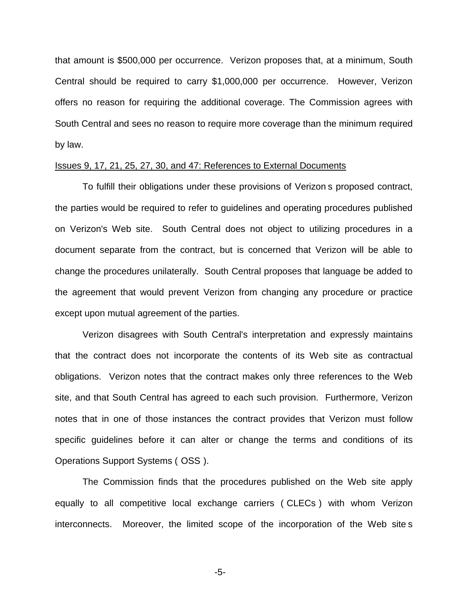that amount is \$500,000 per occurrence. Verizon proposes that, at a minimum, South Central should be required to carry \$1,000,000 per occurrence. However, Verizon offers no reason for requiring the additional coverage. The Commission agrees with South Central and sees no reason to require more coverage than the minimum required by law.

#### Issues 9, 17, 21, 25, 27, 30, and 47: References to External Documents

To fulfill their obligations under these provisions of Verizon s proposed contract, the parties would be required to refer to guidelines and operating procedures published on Verizon's Web site. South Central does not object to utilizing procedures in a document separate from the contract, but is concerned that Verizon will be able to change the procedures unilaterally. South Central proposes that language be added to the agreement that would prevent Verizon from changing any procedure or practice except upon mutual agreement of the parties.

Verizon disagrees with South Central's interpretation and expressly maintains that the contract does not incorporate the contents of its Web site as contractual obligations. Verizon notes that the contract makes only three references to the Web site, and that South Central has agreed to each such provision. Furthermore, Verizon notes that in one of those instances the contract provides that Verizon must follow specific guidelines before it can alter or change the terms and conditions of its Operations Support Systems ( OSS ).

The Commission finds that the procedures published on the Web site apply equally to all competitive local exchange carriers ( CLECs ) with whom Verizon interconnects. Moreover, the limited scope of the incorporation of the Web site s

-5-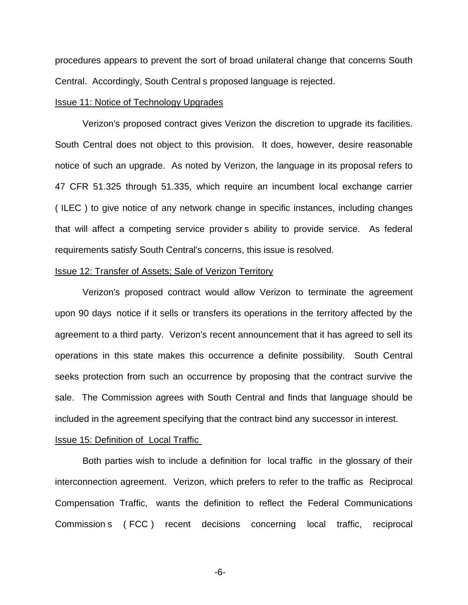procedures appears to prevent the sort of broad unilateral change that concerns South Central. Accordingly, South Central s proposed language is rejected.

# Issue 11: Notice of Technology Upgrades

Verizon's proposed contract gives Verizon the discretion to upgrade its facilities. South Central does not object to this provision. It does, however, desire reasonable notice of such an upgrade. As noted by Verizon, the language in its proposal refers to 47 CFR 51.325 through 51.335, which require an incumbent local exchange carrier ( ILEC ) to give notice of any network change in specific instances, including changes that will affect a competing service provider s ability to provide service. As federal requirements satisfy South Central's concerns, this issue is resolved.

# Issue 12: Transfer of Assets; Sale of Verizon Territory

Verizon's proposed contract would allow Verizon to terminate the agreement upon 90 days notice if it sells or transfers its operations in the territory affected by the agreement to a third party. Verizon's recent announcement that it has agreed to sell its operations in this state makes this occurrence a definite possibility. South Central seeks protection from such an occurrence by proposing that the contract survive the sale. The Commission agrees with South Central and finds that language should be included in the agreement specifying that the contract bind any successor in interest.

## Issue 15: Definition of Local Traffic

Both parties wish to include a definition for local traffic in the glossary of their interconnection agreement. Verizon, which prefers to refer to the traffic as Reciprocal Compensation Traffic, wants the definition to reflect the Federal Communications Commission s ( FCC ) recent decisions concerning local traffic, reciprocal

-6-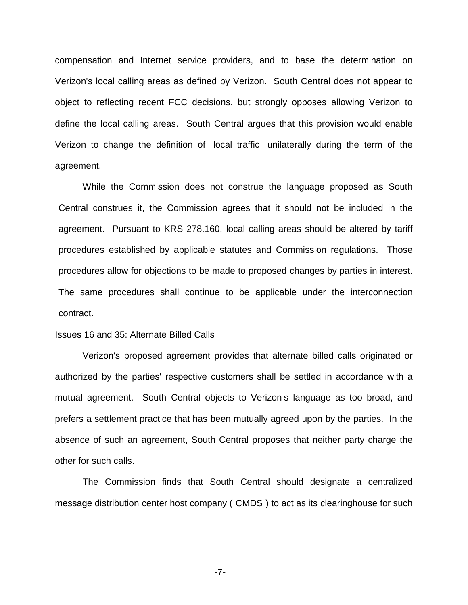compensation and Internet service providers, and to base the determination on Verizon's local calling areas as defined by Verizon. South Central does not appear to object to reflecting recent FCC decisions, but strongly opposes allowing Verizon to define the local calling areas. South Central argues that this provision would enable Verizon to change the definition of local traffic unilaterally during the term of the agreement.

While the Commission does not construe the language proposed as South Central construes it, the Commission agrees that it should not be included in the agreement. Pursuant to KRS 278.160, local calling areas should be altered by tariff procedures established by applicable statutes and Commission regulations. Those procedures allow for objections to be made to proposed changes by parties in interest. The same procedures shall continue to be applicable under the interconnection contract.

#### Issues 16 and 35: Alternate Billed Calls

Verizon's proposed agreement provides that alternate billed calls originated or authorized by the parties' respective customers shall be settled in accordance with a mutual agreement. South Central objects to Verizon s language as too broad, and prefers a settlement practice that has been mutually agreed upon by the parties. In the absence of such an agreement, South Central proposes that neither party charge the other for such calls.

The Commission finds that South Central should designate a centralized message distribution center host company ( CMDS ) to act as its clearinghouse for such

-7-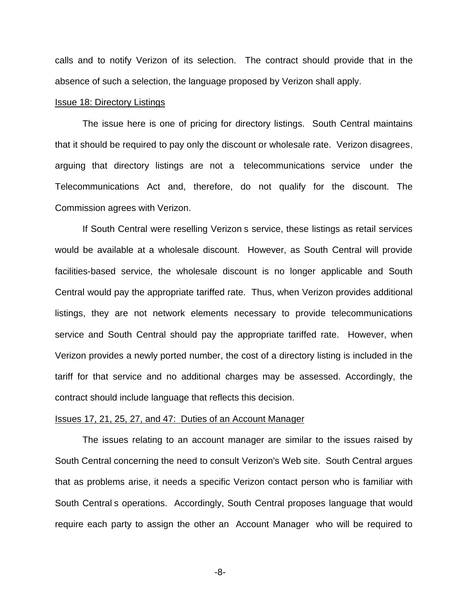calls and to notify Verizon of its selection. The contract should provide that in the absence of such a selection, the language proposed by Verizon shall apply.

# Issue 18: Directory Listings

The issue here is one of pricing for directory listings. South Central maintains that it should be required to pay only the discount or wholesale rate. Verizon disagrees, arguing that directory listings are not a telecommunications service under the Telecommunications Act and, therefore, do not qualify for the discount. The Commission agrees with Verizon.

If South Central were reselling Verizon s service, these listings as retail services would be available at a wholesale discount. However, as South Central will provide facilities-based service, the wholesale discount is no longer applicable and South Central would pay the appropriate tariffed rate. Thus, when Verizon provides additional listings, they are not network elements necessary to provide telecommunications service and South Central should pay the appropriate tariffed rate. However, when Verizon provides a newly ported number, the cost of a directory listing is included in the tariff for that service and no additional charges may be assessed. Accordingly, the contract should include language that reflects this decision.

## Issues 17, 21, 25, 27, and 47: Duties of an Account Manager

The issues relating to an account manager are similar to the issues raised by South Central concerning the need to consult Verizon's Web site. South Central argues that as problems arise, it needs a specific Verizon contact person who is familiar with South Central s operations. Accordingly, South Central proposes language that would require each party to assign the other an Account Manager who will be required to

-8-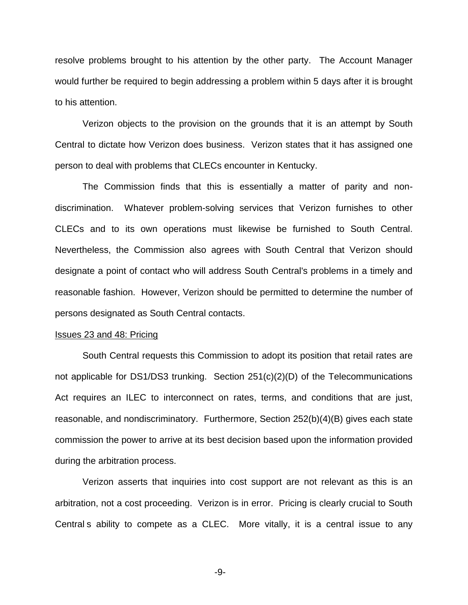resolve problems brought to his attention by the other party. The Account Manager would further be required to begin addressing a problem within 5 days after it is brought to his attention.

Verizon objects to the provision on the grounds that it is an attempt by South Central to dictate how Verizon does business. Verizon states that it has assigned one person to deal with problems that CLECs encounter in Kentucky.

The Commission finds that this is essentially a matter of parity and nondiscrimination. Whatever problem-solving services that Verizon furnishes to other CLECs and to its own operations must likewise be furnished to South Central. Nevertheless, the Commission also agrees with South Central that Verizon should designate a point of contact who will address South Central's problems in a timely and reasonable fashion. However, Verizon should be permitted to determine the number of persons designated as South Central contacts.

#### Issues 23 and 48: Pricing

South Central requests this Commission to adopt its position that retail rates are not applicable for DS1/DS3 trunking. Section 251(c)(2)(D) of the Telecommunications Act requires an ILEC to interconnect on rates, terms, and conditions that are just, reasonable, and nondiscriminatory. Furthermore, Section 252(b)(4)(B) gives each state commission the power to arrive at its best decision based upon the information provided during the arbitration process.

Verizon asserts that inquiries into cost support are not relevant as this is an arbitration, not a cost proceeding. Verizon is in error. Pricing is clearly crucial to South Central s ability to compete as a CLEC. More vitally, it is a central issue to any

-9-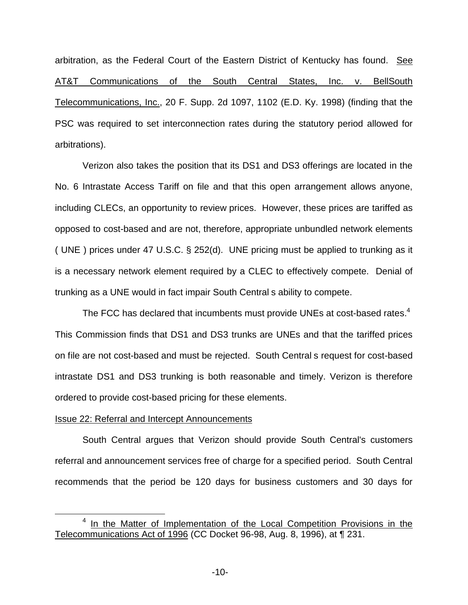arbitration, as the Federal Court of the Eastern District of Kentucky has found. See AT&T Communications of the South Central States, Inc. v. BellSouth Telecommunications, Inc., 20 F. Supp. 2d 1097, 1102 (E.D. Ky. 1998) (finding that the PSC was required to set interconnection rates during the statutory period allowed for arbitrations).

Verizon also takes the position that its DS1 and DS3 offerings are located in the No. 6 Intrastate Access Tariff on file and that this open arrangement allows anyone, including CLECs, an opportunity to review prices. However, these prices are tariffed as opposed to cost-based and are not, therefore, appropriate unbundled network elements ( UNE ) prices under 47 U.S.C. § 252(d). UNE pricing must be applied to trunking as it is a necessary network element required by a CLEC to effectively compete. Denial of trunking as a UNE would in fact impair South Central s ability to compete.

The FCC has declared that incumbents must provide UNEs at cost-based rates.<sup>4</sup> This Commission finds that DS1 and DS3 trunks are UNEs and that the tariffed prices on file are not cost-based and must be rejected. South Central s request for cost-based intrastate DS1 and DS3 trunking is both reasonable and timely. Verizon is therefore ordered to provide cost-based pricing for these elements.

# Issue 22: Referral and Intercept Announcements

South Central argues that Verizon should provide South Central's customers referral and announcement services free of charge for a specified period. South Central recommends that the period be 120 days for business customers and 30 days for

<sup>&</sup>lt;sup>4</sup> In the Matter of Implementation of the Local Competition Provisions in the Telecommunications Act of 1996 (CC Docket 96-98, Aug. 8, 1996), at ¶ 231.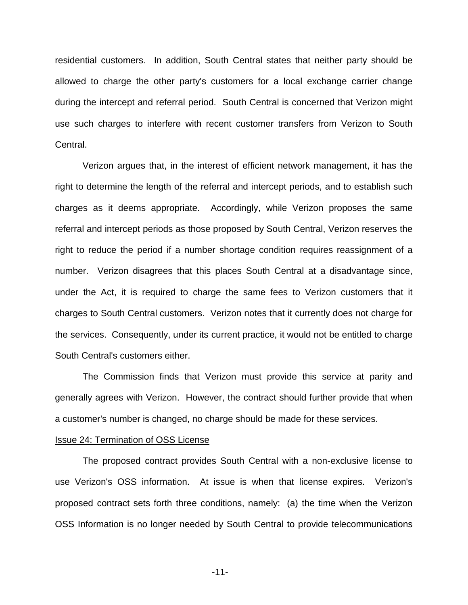residential customers. In addition, South Central states that neither party should be allowed to charge the other party's customers for a local exchange carrier change during the intercept and referral period. South Central is concerned that Verizon might use such charges to interfere with recent customer transfers from Verizon to South Central.

Verizon argues that, in the interest of efficient network management, it has the right to determine the length of the referral and intercept periods, and to establish such charges as it deems appropriate. Accordingly, while Verizon proposes the same referral and intercept periods as those proposed by South Central, Verizon reserves the right to reduce the period if a number shortage condition requires reassignment of a number. Verizon disagrees that this places South Central at a disadvantage since, under the Act, it is required to charge the same fees to Verizon customers that it charges to South Central customers. Verizon notes that it currently does not charge for the services. Consequently, under its current practice, it would not be entitled to charge South Central's customers either.

The Commission finds that Verizon must provide this service at parity and generally agrees with Verizon. However, the contract should further provide that when a customer's number is changed, no charge should be made for these services.

#### Issue 24: Termination of OSS License

The proposed contract provides South Central with a non-exclusive license to use Verizon's OSS information. At issue is when that license expires. Verizon's proposed contract sets forth three conditions, namely: (a) the time when the Verizon OSS Information is no longer needed by South Central to provide telecommunications

-11-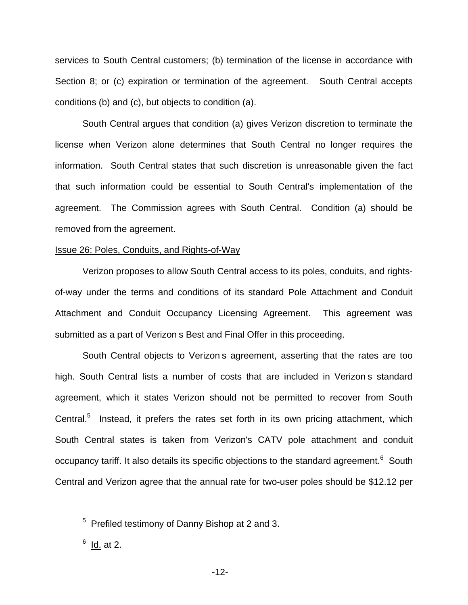services to South Central customers; (b) termination of the license in accordance with Section 8; or (c) expiration or termination of the agreement. South Central accepts conditions (b) and (c), but objects to condition (a).

South Central argues that condition (a) gives Verizon discretion to terminate the license when Verizon alone determines that South Central no longer requires the information. South Central states that such discretion is unreasonable given the fact that such information could be essential to South Central's implementation of the agreement. The Commission agrees with South Central. Condition (a) should be removed from the agreement.

# Issue 26: Poles, Conduits, and Rights-of-Way

Verizon proposes to allow South Central access to its poles, conduits, and rightsof-way under the terms and conditions of its standard Pole Attachment and Conduit Attachment and Conduit Occupancy Licensing Agreement. This agreement was submitted as a part of Verizon s Best and Final Offer in this proceeding.

South Central objects to Verizon s agreement, asserting that the rates are too high. South Central lists a number of costs that are included in Verizon s standard agreement, which it states Verizon should not be permitted to recover from South Central.<sup>5</sup> Instead, it prefers the rates set forth in its own pricing attachment, which South Central states is taken from Verizon's CATV pole attachment and conduit occupancy tariff. It also details its specific objections to the standard agreement.<sup>6</sup> South Central and Verizon agree that the annual rate for two-user poles should be \$12.12 per

<sup>5</sup> Prefiled testimony of Danny Bishop at 2 and 3.

 $6$  Id. at 2.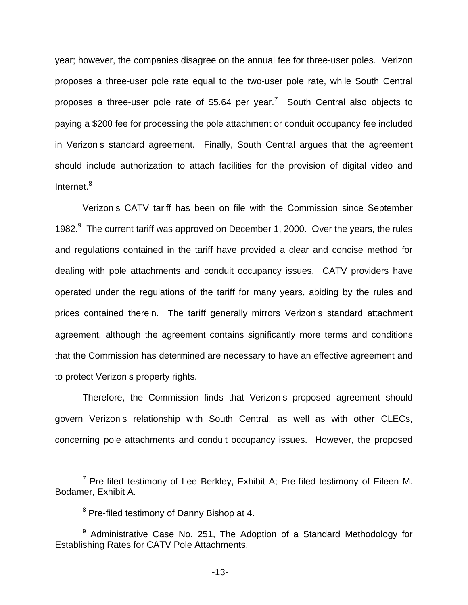year; however, the companies disagree on the annual fee for three-user poles. Verizon proposes a three-user pole rate equal to the two-user pole rate, while South Central proposes a three-user pole rate of \$5.64 per year.<sup>7</sup> South Central also objects to paying a \$200 fee for processing the pole attachment or conduit occupancy fee included in Verizon s standard agreement. Finally, South Central argues that the agreement should include authorization to attach facilities for the provision of digital video and Internet.<sup>8</sup>

Verizon s CATV tariff has been on file with the Commission since September 1982. $9$  The current tariff was approved on December 1, 2000. Over the years, the rules and regulations contained in the tariff have provided a clear and concise method for dealing with pole attachments and conduit occupancy issues. CATV providers have operated under the regulations of the tariff for many years, abiding by the rules and prices contained therein. The tariff generally mirrors Verizon s standard attachment agreement, although the agreement contains significantly more terms and conditions that the Commission has determined are necessary to have an effective agreement and to protect Verizon s property rights.

Therefore, the Commission finds that Verizon s proposed agreement should govern Verizon s relationship with South Central, as well as with other CLECs, concerning pole attachments and conduit occupancy issues. However, the proposed

 $7$  Pre-filed testimony of Lee Berkley, Exhibit A; Pre-filed testimony of Eileen M. Bodamer, Exhibit A.

 $8$  Pre-filed testimony of Danny Bishop at 4.

 $9$  Administrative Case No. 251, The Adoption of a Standard Methodology for Establishing Rates for CATV Pole Attachments.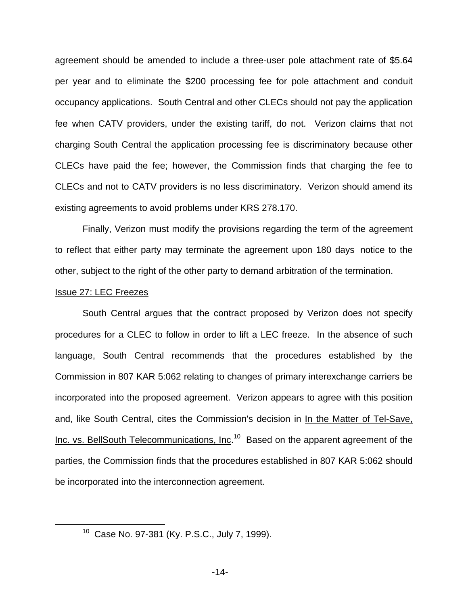agreement should be amended to include a three-user pole attachment rate of \$5.64 per year and to eliminate the \$200 processing fee for pole attachment and conduit occupancy applications. South Central and other CLECs should not pay the application fee when CATV providers, under the existing tariff, do not. Verizon claims that not charging South Central the application processing fee is discriminatory because other CLECs have paid the fee; however, the Commission finds that charging the fee to CLECs and not to CATV providers is no less discriminatory. Verizon should amend its existing agreements to avoid problems under KRS 278.170.

Finally, Verizon must modify the provisions regarding the term of the agreement to reflect that either party may terminate the agreement upon 180 days notice to the other, subject to the right of the other party to demand arbitration of the termination.

## Issue 27: LEC Freezes

South Central argues that the contract proposed by Verizon does not specify procedures for a CLEC to follow in order to lift a LEC freeze. In the absence of such language, South Central recommends that the procedures established by the Commission in 807 KAR 5:062 relating to changes of primary interexchange carriers be incorporated into the proposed agreement. Verizon appears to agree with this position and, like South Central, cites the Commission's decision in In the Matter of Tel-Save, Inc. vs. BellSouth Telecommunications, Inc.<sup>10</sup> Based on the apparent agreement of the parties, the Commission finds that the procedures established in 807 KAR 5:062 should be incorporated into the interconnection agreement.

<sup>10</sup> Case No. 97-381 (Ky. P.S.C., July 7, 1999).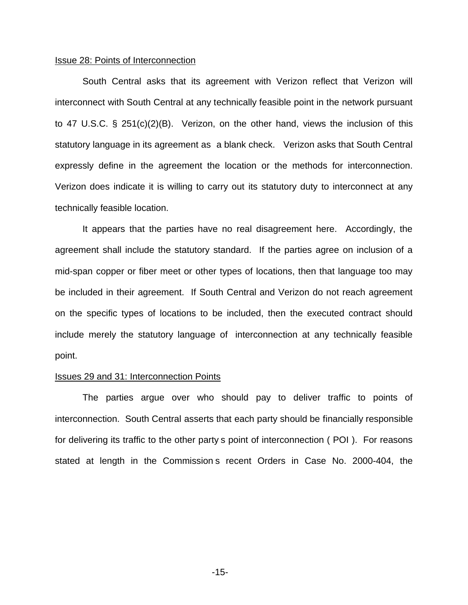# Issue 28: Points of Interconnection

South Central asks that its agreement with Verizon reflect that Verizon will interconnect with South Central at any technically feasible point in the network pursuant to 47 U.S.C. § 251(c)(2)(B). Verizon, on the other hand, views the inclusion of this statutory language in its agreement as a blank check. Verizon asks that South Central expressly define in the agreement the location or the methods for interconnection. Verizon does indicate it is willing to carry out its statutory duty to interconnect at any technically feasible location.

It appears that the parties have no real disagreement here. Accordingly, the agreement shall include the statutory standard. If the parties agree on inclusion of a mid-span copper or fiber meet or other types of locations, then that language too may be included in their agreement. If South Central and Verizon do not reach agreement on the specific types of locations to be included, then the executed contract should include merely the statutory language of interconnection at any technically feasible point.

#### Issues 29 and 31: Interconnection Points

The parties argue over who should pay to deliver traffic to points of interconnection. South Central asserts that each party should be financially responsible for delivering its traffic to the other party s point of interconnection ( POI ). For reasons stated at length in the Commission s recent Orders in Case No. 2000-404, the

-15-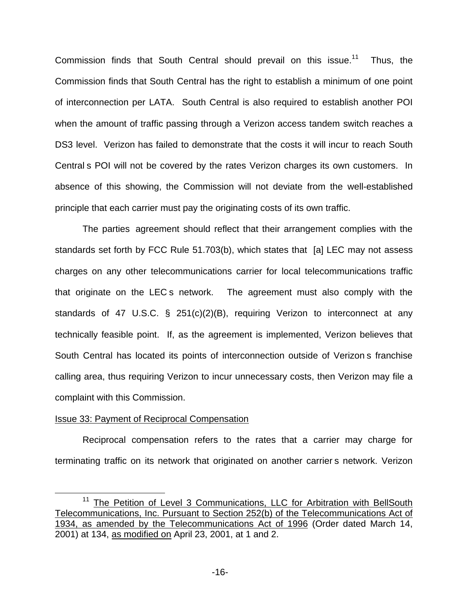Commission finds that South Central should prevail on this issue.<sup>11</sup> Thus, the Commission finds that South Central has the right to establish a minimum of one point of interconnection per LATA. South Central is also required to establish another POI when the amount of traffic passing through a Verizon access tandem switch reaches a DS3 level. Verizon has failed to demonstrate that the costs it will incur to reach South Central s POI will not be covered by the rates Verizon charges its own customers. In absence of this showing, the Commission will not deviate from the well-established principle that each carrier must pay the originating costs of its own traffic.

The parties agreement should reflect that their arrangement complies with the standards set forth by FCC Rule 51.703(b), which states that [a] LEC may not assess charges on any other telecommunications carrier for local telecommunications traffic that originate on the LEC s network. The agreement must also comply with the standards of 47 U.S.C. § 251(c)(2)(B), requiring Verizon to interconnect at any technically feasible point. If, as the agreement is implemented, Verizon believes that South Central has located its points of interconnection outside of Verizon s franchise calling area, thus requiring Verizon to incur unnecessary costs, then Verizon may file a complaint with this Commission.

# Issue 33: Payment of Reciprocal Compensation

Reciprocal compensation refers to the rates that a carrier may charge for terminating traffic on its network that originated on another carrier s network. Verizon

<sup>&</sup>lt;sup>11</sup> The Petition of Level 3 Communications, LLC for Arbitration with BellSouth Telecommunications, Inc. Pursuant to Section 252(b) of the Telecommunications Act of 1934, as amended by the Telecommunications Act of 1996 (Order dated March 14, 2001) at 134, as modified on April 23, 2001, at 1 and 2.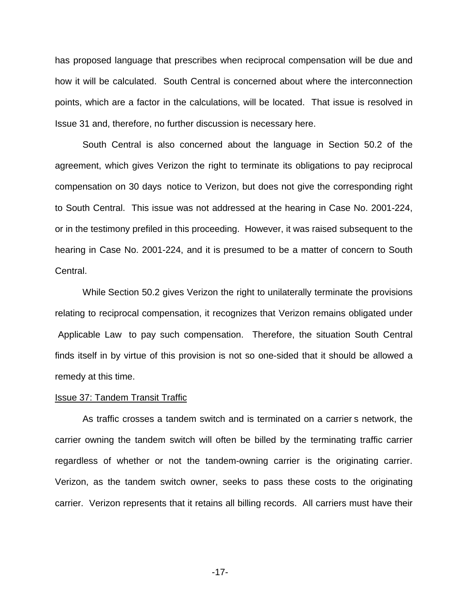has proposed language that prescribes when reciprocal compensation will be due and how it will be calculated. South Central is concerned about where the interconnection points, which are a factor in the calculations, will be located. That issue is resolved in Issue 31 and, therefore, no further discussion is necessary here.

South Central is also concerned about the language in Section 50.2 of the agreement, which gives Verizon the right to terminate its obligations to pay reciprocal compensation on 30 days notice to Verizon, but does not give the corresponding right to South Central. This issue was not addressed at the hearing in Case No. 2001-224, or in the testimony prefiled in this proceeding. However, it was raised subsequent to the hearing in Case No. 2001-224, and it is presumed to be a matter of concern to South Central.

While Section 50.2 gives Verizon the right to unilaterally terminate the provisions relating to reciprocal compensation, it recognizes that Verizon remains obligated under Applicable Law to pay such compensation. Therefore, the situation South Central finds itself in by virtue of this provision is not so one-sided that it should be allowed a remedy at this time.

#### Issue 37: Tandem Transit Traffic

As traffic crosses a tandem switch and is terminated on a carrier s network, the carrier owning the tandem switch will often be billed by the terminating traffic carrier regardless of whether or not the tandem-owning carrier is the originating carrier. Verizon, as the tandem switch owner, seeks to pass these costs to the originating carrier. Verizon represents that it retains all billing records. All carriers must have their

-17-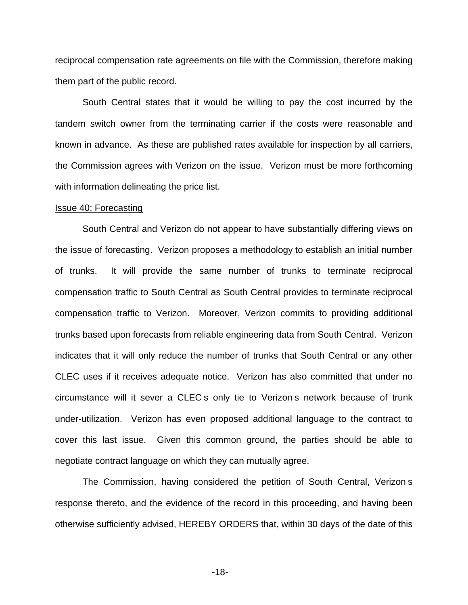reciprocal compensation rate agreements on file with the Commission, therefore making them part of the public record.

South Central states that it would be willing to pay the cost incurred by the tandem switch owner from the terminating carrier if the costs were reasonable and known in advance. As these are published rates available for inspection by all carriers, the Commission agrees with Verizon on the issue. Verizon must be more forthcoming with information delineating the price list.

## Issue 40: Forecasting

South Central and Verizon do not appear to have substantially differing views on the issue of forecasting. Verizon proposes a methodology to establish an initial number of trunks. It will provide the same number of trunks to terminate reciprocal compensation traffic to South Central as South Central provides to terminate reciprocal compensation traffic to Verizon. Moreover, Verizon commits to providing additional trunks based upon forecasts from reliable engineering data from South Central. Verizon indicates that it will only reduce the number of trunks that South Central or any other CLEC uses if it receives adequate notice. Verizon has also committed that under no circumstance will it sever a CLEC s only tie to Verizon s network because of trunk under-utilization. Verizon has even proposed additional language to the contract to cover this last issue. Given this common ground, the parties should be able to negotiate contract language on which they can mutually agree.

The Commission, having considered the petition of South Central, Verizon s response thereto, and the evidence of the record in this proceeding, and having been otherwise sufficiently advised, HEREBY ORDERS that, within 30 days of the date of this

-18-